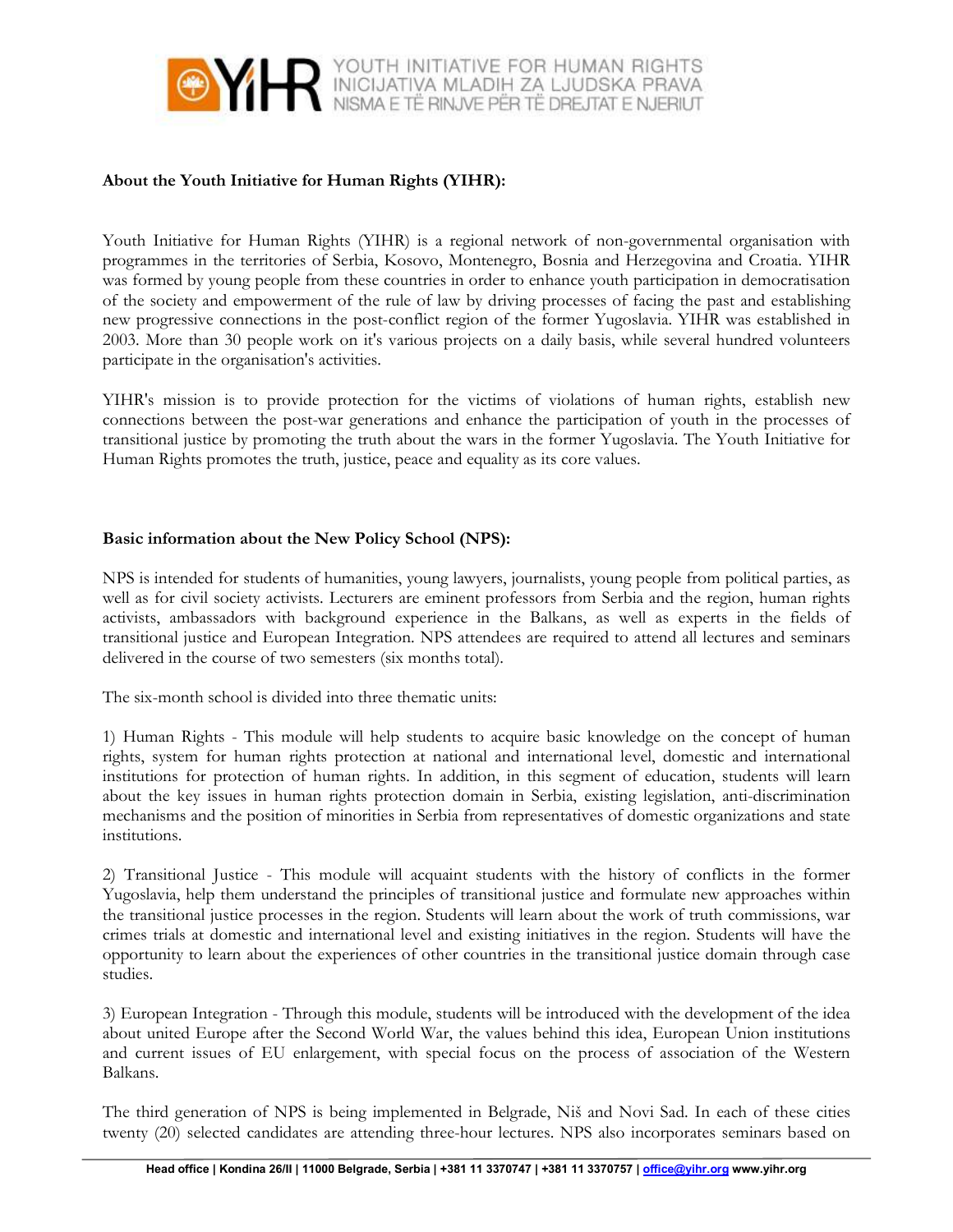

## About the Youth Initiative for Human Rights (YIHR):

Youth Initiative for Human Rights (YIHR) is a regional network of non-governmental organisation with programmes in the territories of Serbia, Kosovo, Montenegro, Bosnia and Herzegovina and Croatia. YIHR was formed by young people from these countries in order to enhance youth participation in democratisation of the society and empowerment of the rule of law by driving processes of facing the past and establishing new progressive connections in the post-conflict region of the former Yugoslavia. YIHR was established in 2003. More than 30 people work on it's various projects on a daily basis, while several hundred volunteers participate in the organisation's activities.

YIHR's mission is to provide protection for the victims of violations of human rights, establish new connections between the post-war generations and enhance the participation of youth in the processes of transitional justice by promoting the truth about the wars in the former Yugoslavia. The Youth Initiative for Human Rights promotes the truth, justice, peace and equality as its core values.

## Basic information about the New Policy School (NPS):

NPS is intended for students of humanities, young lawyers, journalists, young people from political parties, as well as for civil society activists. Lecturers are eminent professors from Serbia and the region, human rights activists, ambassadors with background experience in the Balkans, as well as experts in the fields of transitional justice and European Integration. NPS attendees are required to attend all lectures and seminars delivered in the course of two semesters (six months total).

The six-month school is divided into three thematic units:

1) Human Rights - This module will help students to acquire basic knowledge on the concept of human rights, system for human rights protection at national and international level, domestic and international institutions for protection of human rights. In addition, in this segment of education, students will learn about the key issues in human rights protection domain in Serbia, existing legislation, anti-discrimination mechanisms and the position of minorities in Serbia from representatives of domestic organizations and state institutions.

2) Transitional Justice - This module will acquaint students with the history of conflicts in the former Yugoslavia, help them understand the principles of transitional justice and formulate new approaches within the transitional justice processes in the region. Students will learn about the work of truth commissions, war crimes trials at domestic and international level and existing initiatives in the region. Students will have the opportunity to learn about the experiences of other countries in the transitional justice domain through case studies.

3) European Integration - Through this module, students will be introduced with the development of the idea about united Europe after the Second World War, the values behind this idea, European Union institutions and current issues of EU enlargement, with special focus on the process of association of the Western Balkans.

The third generation of NPS is being implemented in Belgrade, Niš and Novi Sad. In each of these cities twenty (20) selected candidates are attending three-hour lectures. NPS also incorporates seminars based on